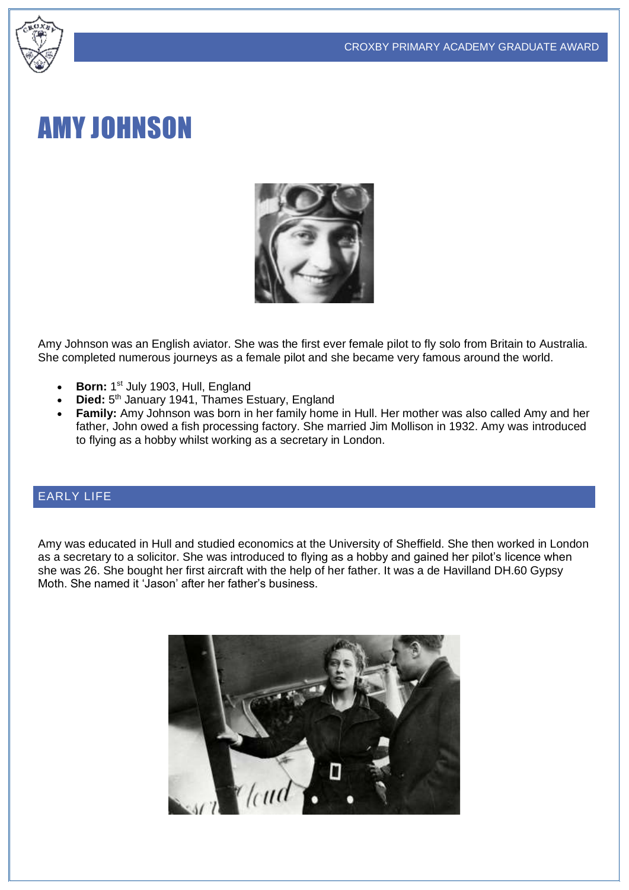#### CROXBY PRIMARY ACADEMY GRADUATE AWARD



# AMY JOHNSON



Amy Johnson was an English aviator. She was the first ever female pilot to fly solo from Britain to Australia. She completed numerous journeys as a female pilot and she became very famous around the world.

- **Born:** 1<sup>st</sup> July 1903, Hull, England
- Died: 5<sup>th</sup> January 1941, Thames Estuary, England
- **Family:** Amy Johnson was born in her family home in Hull. Her mother was also called Amy and her father, John owed a fish processing factory. She married Jim Mollison in 1932. Amy was introduced to flying as a hobby whilst working as a secretary in London.

#### EARLY LIFE

Amy was educated in Hull and studied economics at the University of Sheffield. She then worked in London as a secretary to a solicitor. She was introduced to flying as a hobby and gained her pilot's licence when she was 26. She bought her first aircraft with the help of her father. It was a de Havilland DH.60 Gypsy Moth. She named it 'Jason' after her father's business.

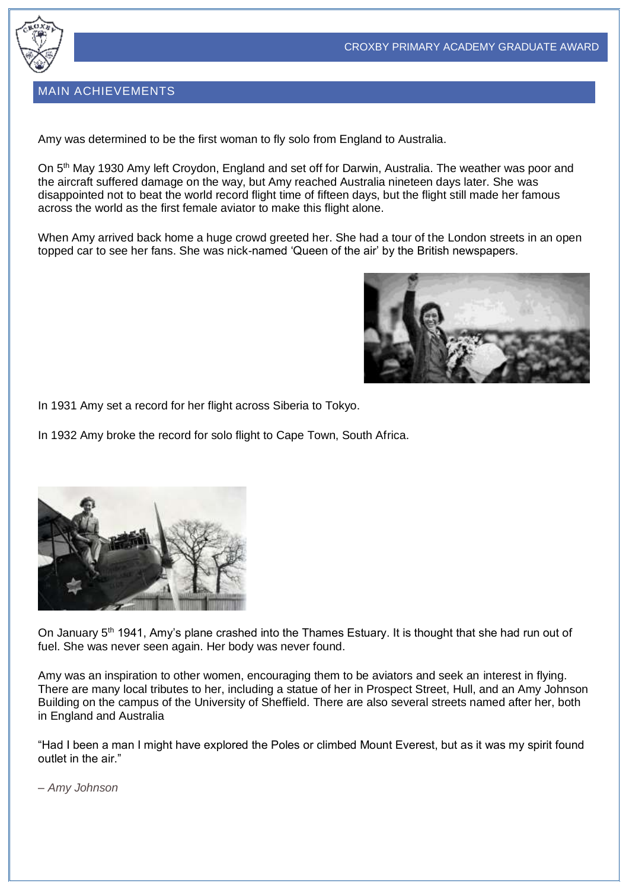

#### MAIN ACHIEVEMENTS

Amy was determined to be the first woman to fly solo from England to Australia.

On 5<sup>th</sup> May 1930 Amy left Croydon, England and set off for Darwin, Australia. The weather was poor and the aircraft suffered damage on the way, but Amy reached Australia nineteen days later. She was disappointed not to beat the world record flight time of fifteen days, but the flight still made her famous across the world as the first female aviator to make this flight alone.

When Amy arrived back home a huge crowd greeted her. She had a tour of the London streets in an open topped car to see her fans. She was nick-named 'Queen of the air' by the British newspapers.



In 1931 Amy set a record for her flight across Siberia to Tokyo.

In 1932 Amy broke the record for solo flight to Cape Town, South Africa.



On January 5<sup>th</sup> 1941, Amy's plane crashed into the Thames Estuary. It is thought that she had run out of fuel. She was never seen again. Her body was never found.

Amy was an inspiration to other women, encouraging them to be aviators and seek an interest in flying. There are many local tributes to her, including a statue of her in Prospect Street, Hull, and an Amy Johnson Building on the campus of the University of Sheffield. There are also several streets named after her, both in England and Australia

"Had I been a man I might have explored the Poles or climbed Mount Everest, but as it was my spirit found outlet in the air."

– *Amy Johnson*